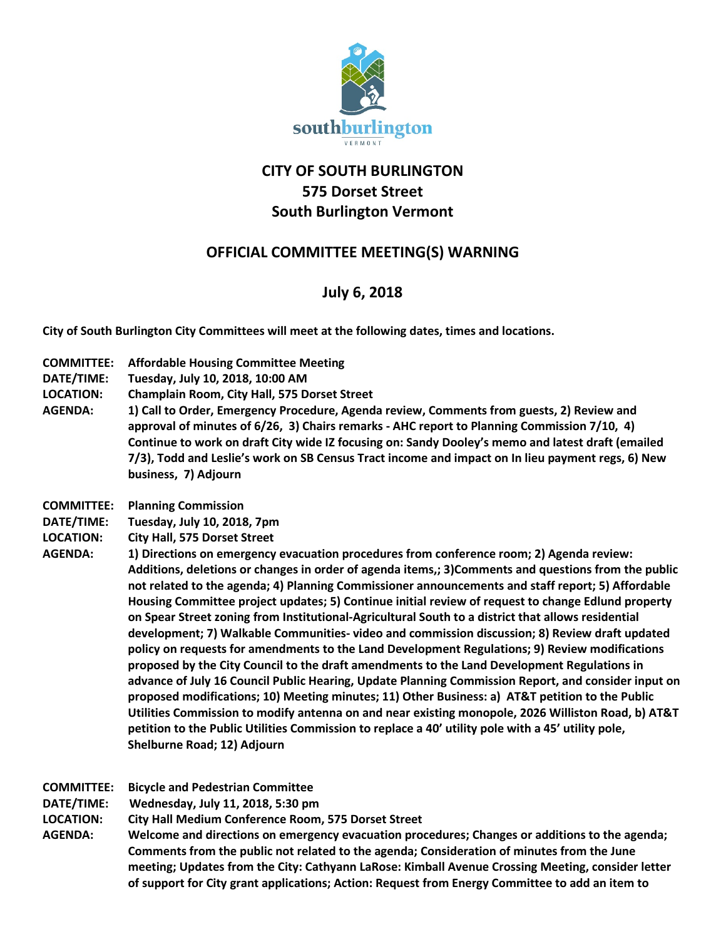

## **CITY OF SOUTH BURLINGTON 575 Dorset Street South Burlington Vermont**

## **OFFICIAL COMMITTEE MEETING(S) WARNING**

## **July 6, 2018**

**City of South Burlington City Committees will meet at the following dates, times and locations.** 

- **COMMITTEE: Affordable Housing Committee Meeting**
- **DATE/TIME: Tuesday, July 10, 2018, 10:00 AM**
- **LOCATION: Champlain Room, City Hall, 575 Dorset Street**
- **AGENDA: 1) Call to Order, Emergency Procedure, Agenda review, Comments from guests, 2) Review and approval of minutes of 6/26, 3) Chairs remarks - AHC report to Planning Commission 7/10, 4) Continue to work on draft City wide IZ focusing on: Sandy Dooley's memo and latest draft (emailed 7/3), Todd and Leslie's work on SB Census Tract income and impact on In lieu payment regs, 6) New business, 7) Adjourn**
- **COMMITTEE: Planning Commission**
- **DATE/TIME: Tuesday, July 10, 2018, 7pm**
- **LOCATION: City Hall, 575 Dorset Street**
- AGENDA: 1) Directions on emergency evacuation procedures from conference room; 2) Agenda review: **Additions, deletions or changes in order of agenda items,; 3)Comments and questions from the public not related to the agenda; 4) Planning Commissioner announcements and staff report; 5) Affordable Housing Committee project updates; 5) Continue initial review of request to change Edlund property on Spear Street zoning from Institutional-Agricultural South to a district that allows residential development; 7) Walkable Communities- video and commission discussion; 8) Review draft updated policy on requests for amendments to the Land Development Regulations; 9) Review modifications proposed by the City Council to the draft amendments to the Land Development Regulations in advance of July 16 Council Public Hearing, Update Planning Commission Report, and consider input on proposed modifications; 10) Meeting minutes; 11) Other Business: a) AT&T petition to the Public Utilities Commission to modify antenna on and near existing monopole, 2026 Williston Road, b) AT&T petition to the Public Utilities Commission to replace a 40' utility pole with a 45' utility pole, Shelburne Road; 12) Adjourn**

| <b>COMMITTEE:</b> | <b>Bicycle and Pedestrian Committee</b> |
|-------------------|-----------------------------------------|
|                   |                                         |

**DATE/TIME: Wednesday, July 11, 2018, 5:30 pm**

**LOCATION: City Hall Medium Conference Room, 575 Dorset Street**

**AGENDA: Welcome and directions on emergency evacuation procedures; Changes or additions to the agenda; Comments from the public not related to the agenda; Consideration of minutes from the June meeting; Updates from the City: Cathyann LaRose: Kimball Avenue Crossing Meeting, consider letter of support for City grant applications; Action: Request from Energy Committee to add an item to**